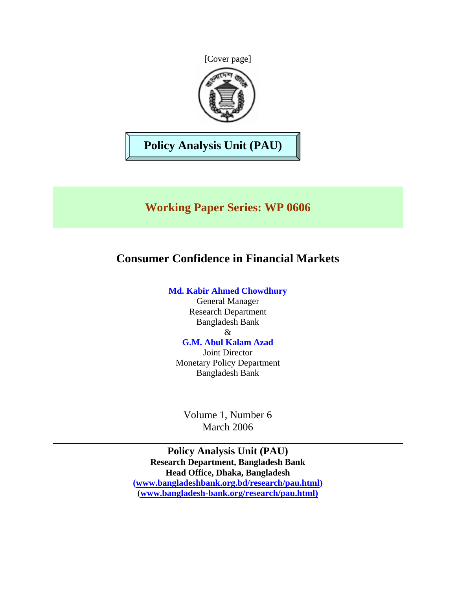[Cover page]



**Policy Analysis Unit (PAU)** 

# **Working Paper Series: WP 0606**

# **Consumer Confidence in Financial Markets**

## **Md. Kabir Ahmed Chowdhury**

General Manager Research Department Bangladesh Bank & **G.M. Abul Kalam Azad** 

Joint Director Monetary Policy Department Bangladesh Bank

Volume 1, Number 6 March 2006

**Policy Analysis Unit (PAU) Research Department, Bangladesh Bank Head Office, Dhaka, Bangladesh ([www.bangladeshbank.org.bd/research/pau.html](http://www.bangladeshbank.org.bd/research/pau.html))**  (**[www.bangladesh-bank.org](http://www.bangladesh-bank.org/)/research/pau.html)**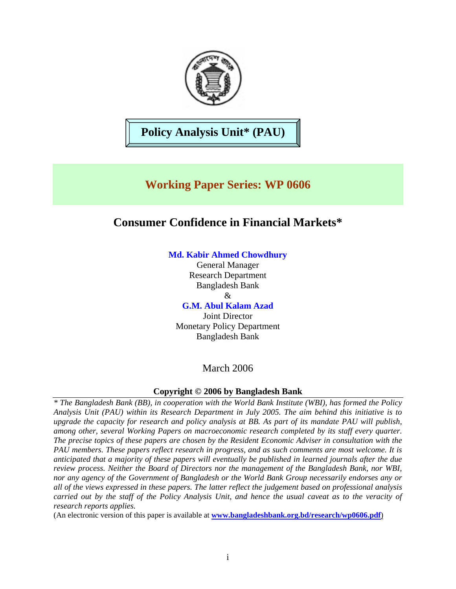

**Policy Analysis Unit\* (PAU)** 

# **Working Paper Series: WP 0606**

## **Consumer Confidence in Financial Markets\***

## **Md. Kabir Ahmed Chowdhury**

General Manager Research Department Bangladesh Bank  $\mathcal{R}_{\mathcal{L}}$ 

**G.M. Abul Kalam Azad** 

Joint Director Monetary Policy Department Bangladesh Bank

## March 2006

## **Copyright © 2006 by Bangladesh Bank**

*\* The Bangladesh Bank (BB), in cooperation with the World Bank Institute (WBI), has formed the Policy Analysis Unit (PAU) within its Research Department in July 2005. The aim behind this initiative is to upgrade the capacity for research and policy analysis at BB. As part of its mandate PAU will publish, among other, several Working Papers on macroeconomic research completed by its staff every quarter. The precise topics of these papers are chosen by the Resident Economic Adviser in consultation with the PAU members. These papers reflect research in progress, and as such comments are most welcome. It is anticipated that a majority of these papers will eventually be published in learned journals after the due review process. Neither the Board of Directors nor the management of the Bangladesh Bank, nor WBI, nor any agency of the Government of Bangladesh or the World Bank Group necessarily endorses any or all of the views expressed in these papers. The latter reflect the judgement based on professional analysis carried out by the staff of the Policy Analysis Unit, and hence the usual caveat as to the veracity of research reports applies.*

(An electronic version of this paper is available at **[www.bangladeshbank.org.bd/research/wp0606.pdf](http://www.bangladeshbank.org.bd/research/wp0606.pdf)**)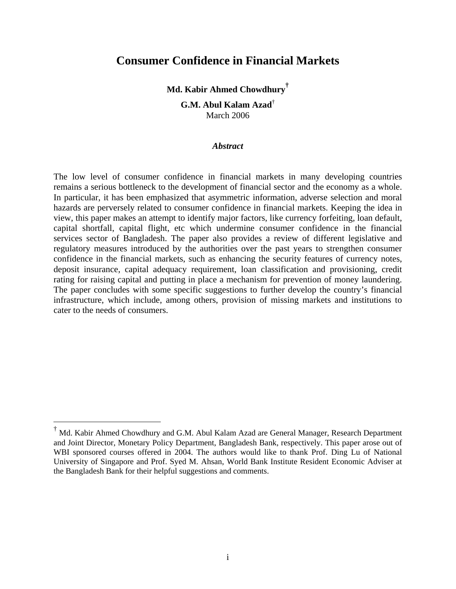## **Consumer Confidence in Financial Markets**

**Md. Kabir Ahmed Chowdhury[†](#page-2-0)**

**G.M. Abul Kalam Azad**† March 2006

#### *Abstract*

The low level of consumer confidence in financial markets in many developing countries remains a serious bottleneck to the development of financial sector and the economy as a whole. In particular, it has been emphasized that asymmetric information, adverse selection and moral hazards are perversely related to consumer confidence in financial markets. Keeping the idea in view, this paper makes an attempt to identify major factors, like currency forfeiting, loan default, capital shortfall, capital flight, etc which undermine consumer confidence in the financial services sector of Bangladesh. The paper also provides a review of different legislative and regulatory measures introduced by the authorities over the past years to strengthen consumer confidence in the financial markets, such as enhancing the security features of currency notes, deposit insurance, capital adequacy requirement, loan classification and provisioning, credit rating for raising capital and putting in place a mechanism for prevention of money laundering. The paper concludes with some specific suggestions to further develop the country's financial infrastructure, which include, among others, provision of missing markets and institutions to cater to the needs of consumers.

1

<span id="page-2-0"></span><sup>†</sup> Md. Kabir Ahmed Chowdhury and G.M. Abul Kalam Azad are General Manager, Research Department and Joint Director, Monetary Policy Department, Bangladesh Bank, respectively. This paper arose out of WBI sponsored courses offered in 2004. The authors would like to thank Prof. Ding Lu of National University of Singapore and Prof. Syed M. Ahsan, World Bank Institute Resident Economic Adviser at the Bangladesh Bank for their helpful suggestions and comments.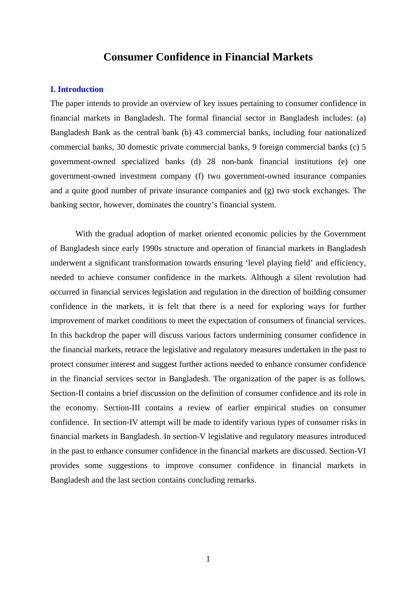## **Consumer Confidence in Financial Markets**

## **I. Introduction**

The paper intends to provide an overview of key issues pertaining to consumer confidence in financial markets in Bangladesh. The formal financial sector in Bangladesh includes: (a) Bangladesh Bank as the central bank (b) 43 commercial banks, including four nationalized commercial banks, 30 domestic private commercial banks, 9 foreign commercial banks (c) 5 government-owned specialized banks (d) 28 non-bank financial institutions (e) one government-owned investment company (f) two government-owned insurance companies and a quite good number of private insurance companies and (g) two stock exchanges. The banking sector, however, dominates the country's financial system.

With the gradual adoption of market oriented economic policies by the Government of Bangladesh since early 1990s structure and operation of financial markets in Bangladesh underwent a significant transformation towards ensuring 'level playing field' and efficiency, needed to achieve consumer confidence in the markets. Although a silent revolution had occurred in financial services legislation and regulation in the direction of building consumer confidence in the markets, it is felt that there is a need for exploring ways for further improvement of market conditions to meet the expectation of consumers of financial services. In this backdrop the paper will discuss various factors undermining consumer confidence in the financial markets, retrace the legislative and regulatory measures undertaken in the past to protect consumer interest and suggest further actions needed to enhance consumer confidence in the financial services sector in Bangladesh. The organization of the paper is as follows. Section-II contains a brief discussion on the definition of consumer confidence and its role in the economy. Section-III contains a review of earlier empirical studies on consumer confidence. In section-IV attempt will be made to identify various types of consumer risks in financial markets in Bangladesh. In section-V legislative and regulatory measures introduced in the past to enhance consumer confidence in the financial markets are discussed. Section-VI provides some suggestions to improve consumer confidence in financial markets in Bangladesh and the last section contains concluding remarks.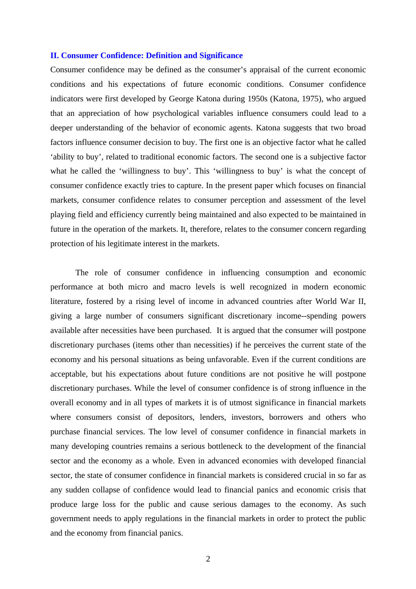### **II. Consumer Confidence: Definition and Significance**

Consumer confidence may be defined as the consumer's appraisal of the current economic conditions and his expectations of future economic conditions. Consumer confidence indicators were first developed by George Katona during 1950s (Katona, 1975), who argued that an appreciation of how psychological variables influence consumers could lead to a deeper understanding of the behavior of economic agents. Katona suggests that two broad factors influence consumer decision to buy. The first one is an objective factor what he called 'ability to buy', related to traditional economic factors. The second one is a subjective factor what he called the 'willingness to buy'. This 'willingness to buy' is what the concept of consumer confidence exactly tries to capture. In the present paper which focuses on financial markets, consumer confidence relates to consumer perception and assessment of the level playing field and efficiency currently being maintained and also expected to be maintained in future in the operation of the markets. It, therefore, relates to the consumer concern regarding protection of his legitimate interest in the markets.

The role of consumer confidence in influencing consumption and economic performance at both micro and macro levels is well recognized in modern economic literature, fostered by a rising level of income in advanced countries after World War II, giving a large number of consumers significant discretionary income--spending powers available after necessities have been purchased. It is argued that the consumer will postpone discretionary purchases (items other than necessities) if he perceives the current state of the economy and his personal situations as being unfavorable. Even if the current conditions are acceptable, but his expectations about future conditions are not positive he will postpone discretionary purchases. While the level of consumer confidence is of strong influence in the overall economy and in all types of markets it is of utmost significance in financial markets where consumers consist of depositors, lenders, investors, borrowers and others who purchase financial services. The low level of consumer confidence in financial markets in many developing countries remains a serious bottleneck to the development of the financial sector and the economy as a whole. Even in advanced economies with developed financial sector, the state of consumer confidence in financial markets is considered crucial in so far as any sudden collapse of confidence would lead to financial panics and economic crisis that produce large loss for the public and cause serious damages to the economy. As such government needs to apply regulations in the financial markets in order to protect the public and the economy from financial panics.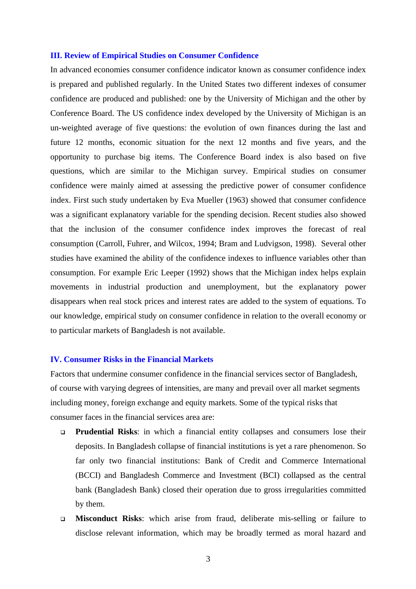#### **III. Review of Empirical Studies on Consumer Confidence**

In advanced economies consumer confidence indicator known as consumer confidence index is prepared and published regularly. In the United States two different indexes of consumer confidence are produced and published: one by the University of Michigan and the other by Conference Board. The US confidence index developed by the University of Michigan is an un-weighted average of five questions: the evolution of own finances during the last and future 12 months, economic situation for the next 12 months and five years, and the opportunity to purchase big items. The Conference Board index is also based on five questions, which are similar to the Michigan survey. Empirical studies on consumer confidence were mainly aimed at assessing the predictive power of consumer confidence index. First such study undertaken by Eva Mueller (1963) showed that consumer confidence was a significant explanatory variable for the spending decision. Recent studies also showed that the inclusion of the consumer confidence index improves the forecast of real consumption (Carroll, Fuhrer, and Wilcox, 1994; Bram and Ludvigson, 1998). Several other studies have examined the ability of the confidence indexes to influence variables other than consumption. For example Eric Leeper (1992) shows that the Michigan index helps explain movements in industrial production and unemployment, but the explanatory power disappears when real stock prices and interest rates are added to the system of equations. To our knowledge, empirical study on consumer confidence in relation to the overall economy or to particular markets of Bangladesh is not available.

## **IV. Consumer Risks in the Financial Markets**

Factors that undermine consumer confidence in the financial services sector of Bangladesh, of course with varying degrees of intensities, are many and prevail over all market segments including money, foreign exchange and equity markets. Some of the typical risks that consumer faces in the financial services area are:

- **Prudential Risks**: in which a financial entity collapses and consumers lose their deposits. In Bangladesh collapse of financial institutions is yet a rare phenomenon. So far only two financial institutions: Bank of Credit and Commerce International (BCCI) and Bangladesh Commerce and Investment (BCI) collapsed as the central bank (Bangladesh Bank) closed their operation due to gross irregularities committed by them.
- **Misconduct Risks**: which arise from fraud, deliberate mis-selling or failure to disclose relevant information, which may be broadly termed as moral hazard and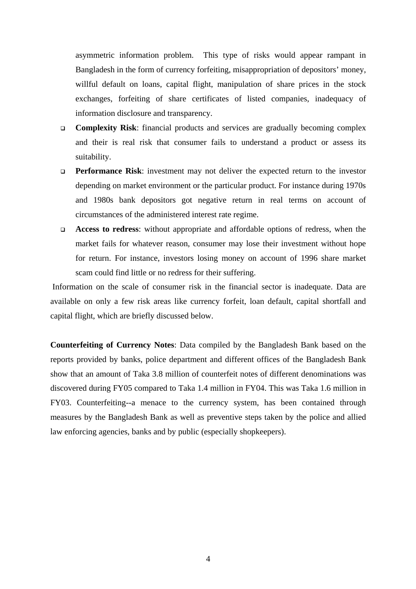asymmetric information problem. This type of risks would appear rampant in Bangladesh in the form of currency forfeiting, misappropriation of depositors' money, willful default on loans, capital flight, manipulation of share prices in the stock exchanges, forfeiting of share certificates of listed companies, inadequacy of information disclosure and transparency.

- **Complexity Risk**: financial products and services are gradually becoming complex and their is real risk that consumer fails to understand a product or assess its suitability.
- **Performance Risk:** investment may not deliver the expected return to the investor depending on market environment or the particular product. For instance during 1970s and 1980s bank depositors got negative return in real terms on account of circumstances of the administered interest rate regime.
- **Access to redress**: without appropriate and affordable options of redress, when the market fails for whatever reason, consumer may lose their investment without hope for return. For instance, investors losing money on account of 1996 share market scam could find little or no redress for their suffering.

Information on the scale of consumer risk in the financial sector is inadequate. Data are available on only a few risk areas like currency forfeit, loan default, capital shortfall and capital flight, which are briefly discussed below.

**Counterfeiting of Currency Notes**: Data compiled by the Bangladesh Bank based on the reports provided by banks, police department and different offices of the Bangladesh Bank show that an amount of Taka 3.8 million of counterfeit notes of different denominations was discovered during FY05 compared to Taka 1.4 million in FY04. This was Taka 1.6 million in FY03. Counterfeiting--a menace to the currency system, has been contained through measures by the Bangladesh Bank as well as preventive steps taken by the police and allied law enforcing agencies, banks and by public (especially shopkeepers).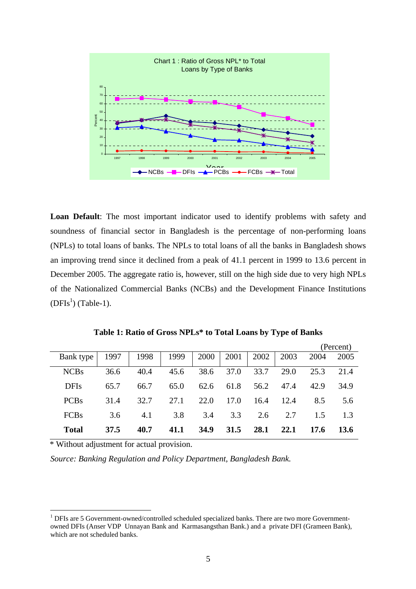

**Loan Default**: The most important indicator used to identify problems with safety and soundness of financial sector in Bangladesh is the percentage of non-performing loans (NPLs) to total loans of banks. The NPLs to total loans of all the banks in Bangladesh shows an improving trend since it declined from a peak of 41.1 percent in 1999 to 13.6 percent in December 2005. The aggregate ratio is, however, still on the high side due to very high NPLs of the Nationalized Commercial Banks (NCBs) and the Development Finance Institutions  $(DFIs<sup>1</sup>)$  $(DFIs<sup>1</sup>)$  (Table-1).

**Table 1: Ratio of Gross NPLs\* to Total Loans by Type of Banks** 

|              |      |      |      |      |      |      |      | (Percent) |      |  |  |  |
|--------------|------|------|------|------|------|------|------|-----------|------|--|--|--|
| Bank type    | 1997 | 1998 | 1999 | 2000 | 2001 | 2002 | 2003 | 2004      | 2005 |  |  |  |
| <b>NCBs</b>  | 36.6 | 40.4 | 45.6 | 38.6 | 37.0 | 33.7 | 29.0 | 25.3      | 21.4 |  |  |  |
| <b>DFIs</b>  | 65.7 | 66.7 | 65.0 | 62.6 | 61.8 | 56.2 | 47.4 | 42.9      | 34.9 |  |  |  |
| <b>PCBs</b>  | 31.4 | 32.7 | 27.1 | 22.0 | 17.0 | 16.4 | 12.4 | 8.5       | 5.6  |  |  |  |
| <b>FCBs</b>  | 3.6  | 4.1  | 3.8  | 3.4  | 3.3  | 2.6  | 2.7  | 1.5       | 1.3  |  |  |  |
| <b>Total</b> | 37.5 | 40.7 | 41.1 | 34.9 | 31.5 | 28.1 | 22.1 | 17.6      | 13.6 |  |  |  |

\* Without adjustment for actual provision.

 $\overline{a}$ 

*Source: Banking Regulation and Policy Department, Bangladesh Bank.* 

<span id="page-7-0"></span> $<sup>1</sup>$  DFIs are 5 Government-owned/controlled scheduled specialized banks. There are two more Government-</sup> owned DFIs (Anser VDP Unnayan Bank and Karmasangsthan Bank.) and a private DFI (Grameen Bank), which are not scheduled banks.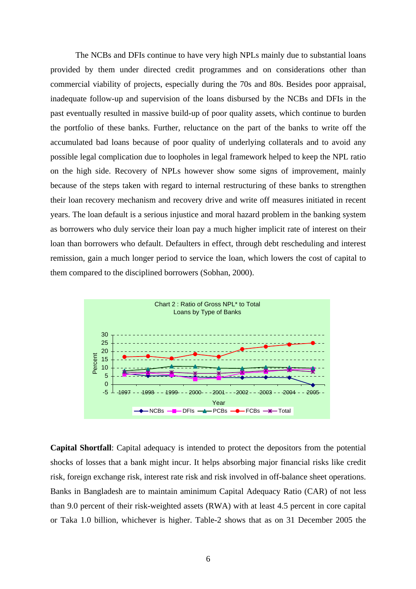The NCBs and DFIs continue to have very high NPLs mainly due to substantial loans provided by them under directed credit programmes and on considerations other than commercial viability of projects, especially during the 70s and 80s. Besides poor appraisal, inadequate follow-up and supervision of the loans disbursed by the NCBs and DFIs in the past eventually resulted in massive build-up of poor quality assets, which continue to burden the portfolio of these banks. Further, reluctance on the part of the banks to write off the accumulated bad loans because of poor quality of underlying collaterals and to avoid any possible legal complication due to loopholes in legal framework helped to keep the NPL ratio on the high side. Recovery of NPLs however show some signs of improvement, mainly because of the steps taken with regard to internal restructuring of these banks to strengthen their loan recovery mechanism and recovery drive and write off measures initiated in recent years. The loan default is a serious injustice and moral hazard problem in the banking system as borrowers who duly service their loan pay a much higher implicit rate of interest on their loan than borrowers who default. Defaulters in effect, through debt rescheduling and interest remission, gain a much longer period to service the loan, which lowers the cost of capital to them compared to the disciplined borrowers (Sobhan, 2000).



**Capital Shortfall**: Capital adequacy is intended to protect the depositors from the potential shocks of losses that a bank might incur. It helps absorbing major financial risks like credit risk, foreign exchange risk, interest rate risk and risk involved in off-balance sheet operations. Banks in Bangladesh are to maintain aminimum Capital Adequacy Ratio (CAR) of not less than 9.0 percent of their risk-weighted assets (RWA) with at least 4.5 percent in core capital or Taka 1.0 billion, whichever is higher. Table-2 shows that as on 31 December 2005 the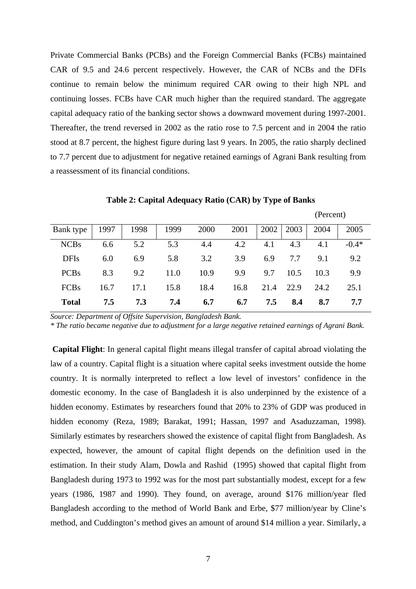Private Commercial Banks (PCBs) and the Foreign Commercial Banks (FCBs) maintained CAR of 9.5 and 24.6 percent respectively. However, the CAR of NCBs and the DFIs continue to remain below the minimum required CAR owing to their high NPL and continuing losses. FCBs have CAR much higher than the required standard. The aggregate capital adequacy ratio of the banking sector shows a downward movement during 1997-2001. Thereafter, the trend reversed in 2002 as the ratio rose to 7.5 percent and in 2004 the ratio stood at 8.7 percent, the highest figure during last 9 years. In 2005, the ratio sharply declined to 7.7 percent due to adjustment for negative retained earnings of Agrani Bank resulting from a reassessment of its financial conditions.

|              |      |      |      |      |      |      |      | (1.919911) |         |  |  |
|--------------|------|------|------|------|------|------|------|------------|---------|--|--|
| Bank type    | 1997 | 1998 | 1999 | 2000 | 2001 | 2002 | 2003 | 2004       | 2005    |  |  |
| <b>NCBs</b>  | 6.6  | 5.2  | 5.3  | 4.4  | 4.2  | 4.1  | 4.3  | 4.1        | $-0.4*$ |  |  |
| <b>DFIs</b>  | 6.0  | 6.9  | 5.8  | 3.2  | 3.9  | 6.9  | 7.7  | 9.1        | 9.2     |  |  |
| <b>PCBs</b>  | 8.3  | 9.2  | 11.0 | 10.9 | 9.9  | 9.7  | 10.5 | 10.3       | 9.9     |  |  |
| <b>FCBs</b>  | 16.7 | 17.1 | 15.8 | 18.4 | 16.8 | 21.4 | 22.9 | 24.2       | 25.1    |  |  |
| <b>Total</b> | 7.5  | 7.3  | 7.4  | 6.7  | 6.7  | 7.5  | 8.4  | 8.7        | 7.7     |  |  |

**Table 2: Capital Adequacy Ratio (CAR) by Type of Banks** 

(Percent)

*Source: Department of Offsite Supervision, Bangladesh Bank.* 

*\* The ratio became negative due to adjustment for a large negative retained earnings of Agrani Bank.* 

**Capital Flight**: In general capital flight means illegal transfer of capital abroad violating the law of a country. Capital flight is a situation where capital seeks investment outside the home country. It is normally interpreted to reflect a low level of investors' confidence in the domestic economy. In the case of Bangladesh it is also underpinned by the existence of a hidden economy. Estimates by researchers found that 20% to 23% of GDP was produced in hidden economy (Reza, 1989; Barakat, 1991; Hassan, 1997 and Asaduzzaman, 1998). Similarly estimates by researchers showed the existence of capital flight from Bangladesh. As expected, however, the amount of capital flight depends on the definition used in the estimation. In their study Alam, Dowla and Rashid (1995) showed that capital flight from Bangladesh during 1973 to 1992 was for the most part substantially modest, except for a few years (1986, 1987 and 1990). They found, on average, around \$176 million/year fled Bangladesh according to the method of World Bank and Erbe, \$77 million/year by Cline's method, and Cuddington's method gives an amount of around \$14 million a year. Similarly, a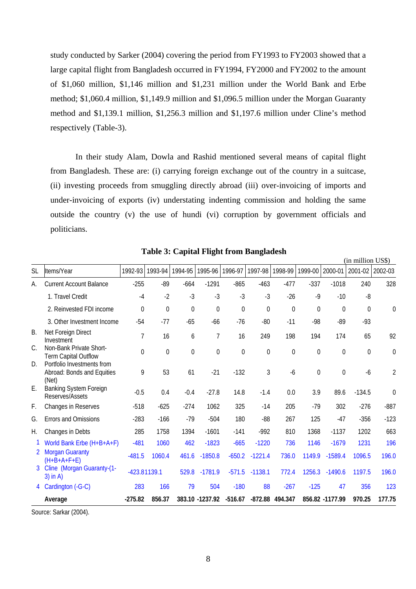study conducted by Sarker (2004) covering the period from FY1993 to FY2003 showed that a large capital flight from Bangladesh occurred in FY1994, FY2000 and FY2002 to the amount of \$1,060 million, \$1,146 million and \$1,231 million under the World Bank and Erbe method; \$1,060.4 million, \$1,149.9 million and \$1,096.5 million under the Morgan Guaranty method and \$1,139.1 million, \$1,256.3 million and \$1,197.6 million under Cline's method respectively (Table-3).

In their study Alam, Dowla and Rashid mentioned several means of capital flight from Bangladesh. These are: (i) carrying foreign exchange out of the country in a suitcase, (ii) investing proceeds from smuggling directly abroad (iii) over-invoicing of imports and under-invoicing of exports (iv) understating indenting commission and holding the same outside the country (v) the use of hundi (vi) corruption by government officials and politicians.

|           | (ш шшпоп ∪ээ)                                                     |                  |                  |                  |                  |                         |                  |                  |                  |                  |                  |                |
|-----------|-------------------------------------------------------------------|------------------|------------------|------------------|------------------|-------------------------|------------------|------------------|------------------|------------------|------------------|----------------|
| <b>SL</b> | Items/Year                                                        | 1992-93          | 1993-94          | 1994-95          | 1995-96          | 1996-97                 | 1997-98          | 1998-99          | 1999-00          | 2000-01          | 2001-02          | 2002-03        |
| А.        | <b>Current Account Balance</b>                                    | $-255$           | $-89$            | $-664$           | $-1291$          | $-865$                  | $-463$           | $-477$           | $-337$           | $-1018$          | 240              | 328            |
|           | 1. Travel Credit                                                  | $-4$             | $-2$             | $-3$             | $-3$             | $-3$                    | $-3$             | $-26$            | $-9$             | $-10$            | $-8$             |                |
|           | 2. Reinvested FDI income                                          | $\theta$         | $\theta$         | 0                | $\mathbf 0$      | $\theta$                | $\theta$         | $\theta$         | $\Omega$         | 0                | $\boldsymbol{0}$ | $\mathbf 0$    |
|           | 3. Other Investment Income                                        | $-54$            | $-77$            | $-65$            | $-66$            | $-76$                   | $-80$            | $-11$            | $-98$            | $-89$            | $-93$            |                |
| В.        | Net Foreign Direct<br>Investment                                  | 7                | 16               | 6                | $\overline{1}$   | 16                      | 249              | 198              | 194              | 174              | 65               | 92             |
| C.        | Non-Bank Private Short-<br><b>Term Capital Outflow</b>            | $\boldsymbol{0}$ | $\boldsymbol{0}$ | $\boldsymbol{0}$ | $\boldsymbol{0}$ | $\boldsymbol{0}$        | $\boldsymbol{0}$ | $\boldsymbol{0}$ | $\boldsymbol{0}$ | $\boldsymbol{0}$ | $\boldsymbol{0}$ | $\mathbf 0$    |
| D.        | Portfolio Investments from<br>Abroad: Bonds and Equities<br>(Net) | 9                | 53               | 61               | $-21$            | $-132$                  | 3                | $-6$             | 0                | $\mathbf 0$      | $-6$             | $\overline{2}$ |
| Ε.        | <b>Banking System Foreign</b><br>Reserves/Assets                  | $-0.5$           | 0.4              | $-0.4$           | $-27.8$          | 14.8                    | $-1.4$           | 0.0              | 3.9              | 89.6             | $-134.5$         | $\mathbf{0}$   |
| F.        | Changes in Reserves                                               | $-518$           | $-625$           | $-274$           | 1062             | 325                     | $-14$            | 205              | $-79$            | 302              | $-276$           | $-887$         |
| G.        | Errors and Omissions                                              | $-283$           | $-166$           | $-79$            | $-504$           | 180                     | $-88$            | 267              | 125              | $-47$            | $-356$           | $-123$         |
| Н.        | Changes in Debts                                                  | 285              | 1758             | 1394             | $-1601$          | $-141$                  | $-992$           | 810              | 1368             | $-1137$          | 1202             | 663            |
|           | World Bank Erbe (H+B+A+F)                                         | $-481$           | 1060             | 462              | $-1823$          | $-665$                  | $-1220$          | 736              | 1146             | $-1679$          | 1231             | 196            |
|           | <b>Morgan Guaranty</b><br>$(H+B+A+F+E)$                           | $-481.5$         | 1060.4           | 461.6            | $-1850.8$        | $-650.2$                | $-1221.4$        | 736.0            | 1149.9           | $-1589.4$        | 1096.5           | 196.0          |
| 3         | Cline (Morgan Guaranty-(1-<br>$3)$ in A)                          | $-423.81139.1$   |                  | 529.8            | $-1781.9$        | $-571.5$                | $-1138.1$        | 772.4            | 1256.3           | $-1490.6$        | 1197.5           | 196.0          |
| 4         | Cardington (-G-C)                                                 | 283              | 166              | 79               | 504              | $-180$                  | 88               | $-267$           | $-125$           | 47               | 356              | 123            |
|           | Average                                                           | $-275.82$        | 856.37           |                  |                  | 383.10 -1237.92 -516.67 |                  | -872.88 494.347  |                  | 856.82 - 1177.99 | 970.25           | 177.75         |

**Table 3: Capital Flight from Bangladesh** 

 $\ell$   $\cdots$   $\cdots$   $\cdots$ 

Source: Sarkar (2004).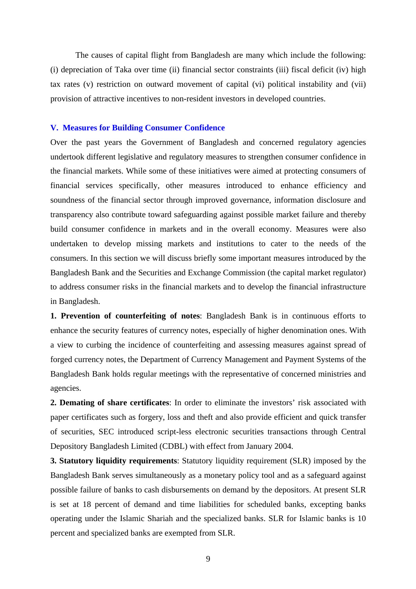The causes of capital flight from Bangladesh are many which include the following: (i) depreciation of Taka over time (ii) financial sector constraints (iii) fiscal deficit (iv) high tax rates (v) restriction on outward movement of capital (vi) political instability and (vii) provision of attractive incentives to non-resident investors in developed countries.

#### **V. Measures for Building Consumer Confidence**

Over the past years the Government of Bangladesh and concerned regulatory agencies undertook different legislative and regulatory measures to strengthen consumer confidence in the financial markets. While some of these initiatives were aimed at protecting consumers of financial services specifically, other measures introduced to enhance efficiency and soundness of the financial sector through improved governance, information disclosure and transparency also contribute toward safeguarding against possible market failure and thereby build consumer confidence in markets and in the overall economy. Measures were also undertaken to develop missing markets and institutions to cater to the needs of the consumers. In this section we will discuss briefly some important measures introduced by the Bangladesh Bank and the Securities and Exchange Commission (the capital market regulator) to address consumer risks in the financial markets and to develop the financial infrastructure in Bangladesh.

**1. Prevention of counterfeiting of notes**: Bangladesh Bank is in continuous efforts to enhance the security features of currency notes, especially of higher denomination ones. With a view to curbing the incidence of counterfeiting and assessing measures against spread of forged currency notes, the Department of Currency Management and Payment Systems of the Bangladesh Bank holds regular meetings with the representative of concerned ministries and agencies.

**2. Demating of share certificates**: In order to eliminate the investors' risk associated with paper certificates such as forgery, loss and theft and also provide efficient and quick transfer of securities, SEC introduced script-less electronic securities transactions through Central Depository Bangladesh Limited (CDBL) with effect from January 2004.

**3. Statutory liquidity requirements**: Statutory liquidity requirement (SLR) imposed by the Bangladesh Bank serves simultaneously as a monetary policy tool and as a safeguard against possible failure of banks to cash disbursements on demand by the depositors. At present SLR is set at 18 percent of demand and time liabilities for scheduled banks, excepting banks operating under the Islamic Shariah and the specialized banks. SLR for Islamic banks is 10 percent and specialized banks are exempted from SLR.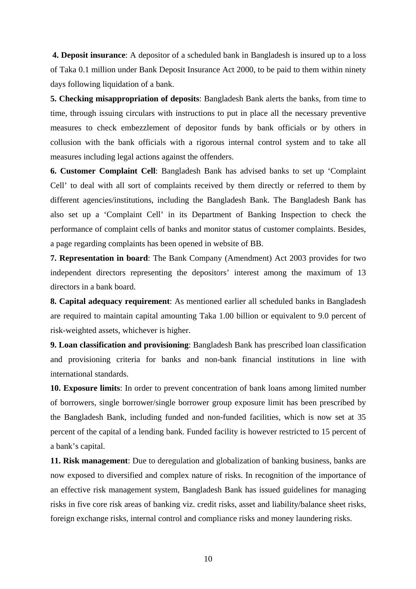**4. Deposit insurance**: A depositor of a scheduled bank in Bangladesh is insured up to a loss of Taka 0.1 million under Bank Deposit Insurance Act 2000, to be paid to them within ninety days following liquidation of a bank.

**5. Checking misappropriation of deposits**: Bangladesh Bank alerts the banks, from time to time, through issuing circulars with instructions to put in place all the necessary preventive measures to check embezzlement of depositor funds by bank officials or by others in collusion with the bank officials with a rigorous internal control system and to take all measures including legal actions against the offenders.

**6. Customer Complaint Cell**: Bangladesh Bank has advised banks to set up 'Complaint Cell' to deal with all sort of complaints received by them directly or referred to them by different agencies/institutions, including the Bangladesh Bank. The Bangladesh Bank has also set up a 'Complaint Cell' in its Department of Banking Inspection to check the performance of complaint cells of banks and monitor status of customer complaints. Besides, a page regarding complaints has been opened in website of BB.

**7. Representation in board**: The Bank Company (Amendment) Act 2003 provides for two independent directors representing the depositors' interest among the maximum of 13 directors in a bank board.

**8. Capital adequacy requirement**: As mentioned earlier all scheduled banks in Bangladesh are required to maintain capital amounting Taka 1.00 billion or equivalent to 9.0 percent of risk-weighted assets, whichever is higher.

**9. Loan classification and provisioning**: Bangladesh Bank has prescribed loan classification and provisioning criteria for banks and non-bank financial institutions in line with international standards.

**10. Exposure limits**: In order to prevent concentration of bank loans among limited number of borrowers, single borrower/single borrower group exposure limit has been prescribed by the Bangladesh Bank, including funded and non-funded facilities, which is now set at 35 percent of the capital of a lending bank. Funded facility is however restricted to 15 percent of a bank's capital.

**11. Risk management**: Due to deregulation and globalization of banking business, banks are now exposed to diversified and complex nature of risks. In recognition of the importance of an effective risk management system, Bangladesh Bank has issued guidelines for managing risks in five core risk areas of banking viz. credit risks, asset and liability/balance sheet risks, foreign exchange risks, internal control and compliance risks and money laundering risks.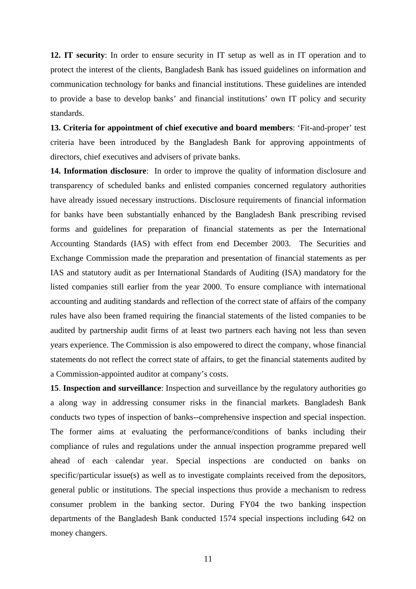**12. IT security**: In order to ensure security in IT setup as well as in IT operation and to protect the interest of the clients, Bangladesh Bank has issued guidelines on information and communication technology for banks and financial institutions. These guidelines are intended to provide a base to develop banks' and financial institutions' own IT policy and security standards.

**13. Criteria for appointment of chief executive and board members**: 'Fit-and-proper' test criteria have been introduced by the Bangladesh Bank for approving appointments of directors, chief executives and advisers of private banks.

**14. Information disclosure**: In order to improve the quality of information disclosure and transparency of scheduled banks and enlisted companies concerned regulatory authorities have already issued necessary instructions. Disclosure requirements of financial information for banks have been substantially enhanced by the Bangladesh Bank prescribing revised forms and guidelines for preparation of financial statements as per the International Accounting Standards (IAS) with effect from end December 2003. The Securities and Exchange Commission made the preparation and presentation of financial statements as per IAS and statutory audit as per International Standards of Auditing (ISA) mandatory for the listed companies still earlier from the year 2000. To ensure compliance with international accounting and auditing standards and reflection of the correct state of affairs of the company rules have also been framed requiring the financial statements of the listed companies to be audited by partnership audit firms of at least two partners each having not less than seven years experience. The Commission is also empowered to direct the company, whose financial statements do not reflect the correct state of affairs, to get the financial statements audited by a Commission-appointed auditor at company's costs.

**15**. **Inspection and surveillance**: Inspection and surveillance by the regulatory authorities go a along way in addressing consumer risks in the financial markets. Bangladesh Bank conducts two types of inspection of banks--comprehensive inspection and special inspection. The former aims at evaluating the performance/conditions of banks including their compliance of rules and regulations under the annual inspection programme prepared well ahead of each calendar year. Special inspections are conducted on banks on specific/particular issue(s) as well as to investigate complaints received from the depositors, general public or institutions. The special inspections thus provide a mechanism to redress consumer problem in the banking sector. During FY04 the two banking inspection departments of the Bangladesh Bank conducted 1574 special inspections including 642 on money changers.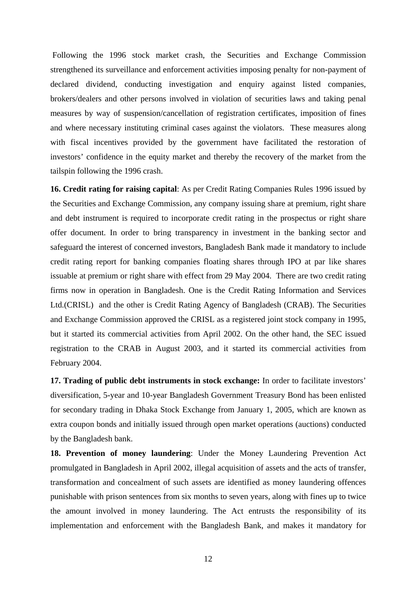Following the 1996 stock market crash, the Securities and Exchange Commission strengthened its surveillance and enforcement activities imposing penalty for non-payment of declared dividend, conducting investigation and enquiry against listed companies, brokers/dealers and other persons involved in violation of securities laws and taking penal measures by way of suspension/cancellation of registration certificates, imposition of fines and where necessary instituting criminal cases against the violators. These measures along with fiscal incentives provided by the government have facilitated the restoration of investors' confidence in the equity market and thereby the recovery of the market from the tailspin following the 1996 crash.

**16. Credit rating for raising capital**: As per Credit Rating Companies Rules 1996 issued by the Securities and Exchange Commission, any company issuing share at premium, right share and debt instrument is required to incorporate credit rating in the prospectus or right share offer document. In order to bring transparency in investment in the banking sector and safeguard the interest of concerned investors, Bangladesh Bank made it mandatory to include credit rating report for banking companies floating shares through IPO at par like shares issuable at premium or right share with effect from 29 May 2004. There are two credit rating firms now in operation in Bangladesh. One is the Credit Rating Information and Services Ltd.(CRISL) and the other is Credit Rating Agency of Bangladesh (CRAB). The Securities and Exchange Commission approved the CRISL as a registered joint stock company in 1995, but it started its commercial activities from April 2002. On the other hand, the SEC issued registration to the CRAB in August 2003, and it started its commercial activities from February 2004.

**17. Trading of public debt instruments in stock exchange:** In order to facilitate investors' diversification, 5-year and 10-year Bangladesh Government Treasury Bond has been enlisted for secondary trading in Dhaka Stock Exchange from January 1, 2005, which are known as extra coupon bonds and initially issued through open market operations (auctions) conducted by the Bangladesh bank.

**18. Prevention of money laundering**: Under the Money Laundering Prevention Act promulgated in Bangladesh in April 2002, illegal acquisition of assets and the acts of transfer, transformation and concealment of such assets are identified as money laundering offences punishable with prison sentences from six months to seven years, along with fines up to twice the amount involved in money laundering. The Act entrusts the responsibility of its implementation and enforcement with the Bangladesh Bank, and makes it mandatory for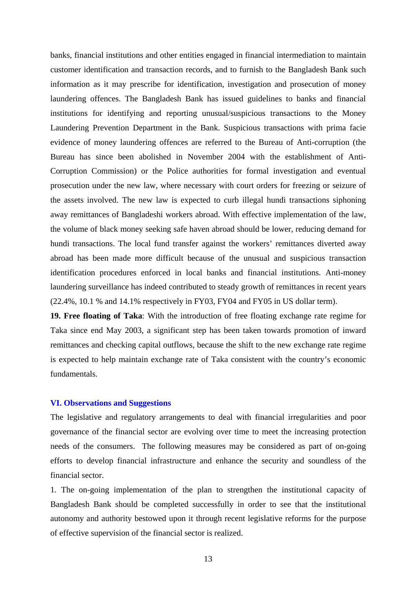banks, financial institutions and other entities engaged in financial intermediation to maintain customer identification and transaction records, and to furnish to the Bangladesh Bank such information as it may prescribe for identification, investigation and prosecution of money laundering offences. The Bangladesh Bank has issued guidelines to banks and financial institutions for identifying and reporting unusual/suspicious transactions to the Money Laundering Prevention Department in the Bank. Suspicious transactions with prima facie evidence of money laundering offences are referred to the Bureau of Anti-corruption (the Bureau has since been abolished in November 2004 with the establishment of Anti-Corruption Commission) or the Police authorities for formal investigation and eventual prosecution under the new law, where necessary with court orders for freezing or seizure of the assets involved. The new law is expected to curb illegal hundi transactions siphoning away remittances of Bangladeshi workers abroad. With effective implementation of the law, the volume of black money seeking safe haven abroad should be lower, reducing demand for hundi transactions. The local fund transfer against the workers' remittances diverted away abroad has been made more difficult because of the unusual and suspicious transaction identification procedures enforced in local banks and financial institutions. Anti-money laundering surveillance has indeed contributed to steady growth of remittances in recent years (22.4%, 10.1 % and 14.1% respectively in FY03, FY04 and FY05 in US dollar term).

**19. Free floating of Taka**: With the introduction of free floating exchange rate regime for Taka since end May 2003, a significant step has been taken towards promotion of inward remittances and checking capital outflows, because the shift to the new exchange rate regime is expected to help maintain exchange rate of Taka consistent with the country's economic fundamentals.

## **VI. Observations and Suggestions**

The legislative and regulatory arrangements to deal with financial irregularities and poor governance of the financial sector are evolving over time to meet the increasing protection needs of the consumers. The following measures may be considered as part of on-going efforts to develop financial infrastructure and enhance the security and soundless of the financial sector.

1. The on-going implementation of the plan to strengthen the institutional capacity of Bangladesh Bank should be completed successfully in order to see that the institutional autonomy and authority bestowed upon it through recent legislative reforms for the purpose of effective supervision of the financial sector is realized.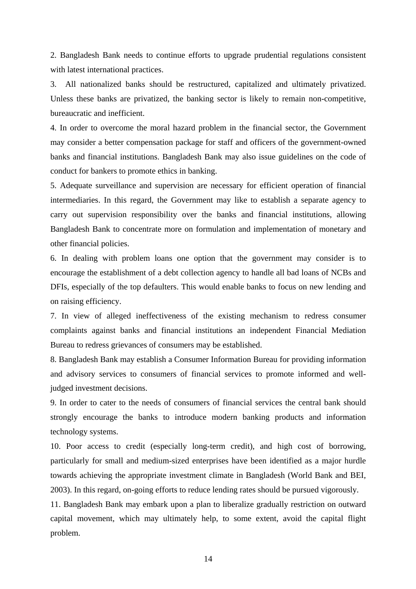2. Bangladesh Bank needs to continue efforts to upgrade prudential regulations consistent with latest international practices.

3. All nationalized banks should be restructured, capitalized and ultimately privatized. Unless these banks are privatized, the banking sector is likely to remain non-competitive, bureaucratic and inefficient.

4. In order to overcome the moral hazard problem in the financial sector, the Government may consider a better compensation package for staff and officers of the government-owned banks and financial institutions. Bangladesh Bank may also issue guidelines on the code of conduct for bankers to promote ethics in banking.

5. Adequate surveillance and supervision are necessary for efficient operation of financial intermediaries. In this regard, the Government may like to establish a separate agency to carry out supervision responsibility over the banks and financial institutions, allowing Bangladesh Bank to concentrate more on formulation and implementation of monetary and other financial policies.

6. In dealing with problem loans one option that the government may consider is to encourage the establishment of a debt collection agency to handle all bad loans of NCBs and DFIs, especially of the top defaulters. This would enable banks to focus on new lending and on raising efficiency.

7. In view of alleged ineffectiveness of the existing mechanism to redress consumer complaints against banks and financial institutions an independent Financial Mediation Bureau to redress grievances of consumers may be established.

8. Bangladesh Bank may establish a Consumer Information Bureau for providing information and advisory services to consumers of financial services to promote informed and welljudged investment decisions.

9. In order to cater to the needs of consumers of financial services the central bank should strongly encourage the banks to introduce modern banking products and information technology systems.

10. Poor access to credit (especially long-term credit), and high cost of borrowing, particularly for small and medium-sized enterprises have been identified as a major hurdle towards achieving the appropriate investment climate in Bangladesh (World Bank and BEI, 2003). In this regard, on-going efforts to reduce lending rates should be pursued vigorously.

11. Bangladesh Bank may embark upon a plan to liberalize gradually restriction on outward capital movement, which may ultimately help, to some extent, avoid the capital flight problem.

14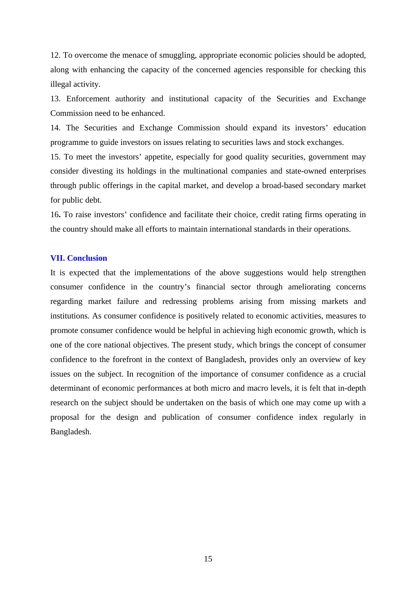12. To overcome the menace of smuggling, appropriate economic policies should be adopted, along with enhancing the capacity of the concerned agencies responsible for checking this illegal activity.

13. Enforcement authority and institutional capacity of the Securities and Exchange Commission need to be enhanced.

14. The Securities and Exchange Commission should expand its investors' education programme to guide investors on issues relating to securities laws and stock exchanges.

15. To meet the investors' appetite, especially for good quality securities, government may consider divesting its holdings in the multinational companies and state-owned enterprises through public offerings in the capital market, and develop a broad-based secondary market for public debt.

16**.** To raise investors' confidence and facilitate their choice, credit rating firms operating in the country should make all efforts to maintain international standards in their operations.

## **VII. Conclusion**

It is expected that the implementations of the above suggestions would help strengthen consumer confidence in the country's financial sector through ameliorating concerns regarding market failure and redressing problems arising from missing markets and institutions. As consumer confidence is positively related to economic activities, measures to promote consumer confidence would be helpful in achieving high economic growth, which is one of the core national objectives. The present study, which brings the concept of consumer confidence to the forefront in the context of Bangladesh, provides only an overview of key issues on the subject. In recognition of the importance of consumer confidence as a crucial determinant of economic performances at both micro and macro levels, it is felt that in-depth research on the subject should be undertaken on the basis of which one may come up with a proposal for the design and publication of consumer confidence index regularly in Bangladesh.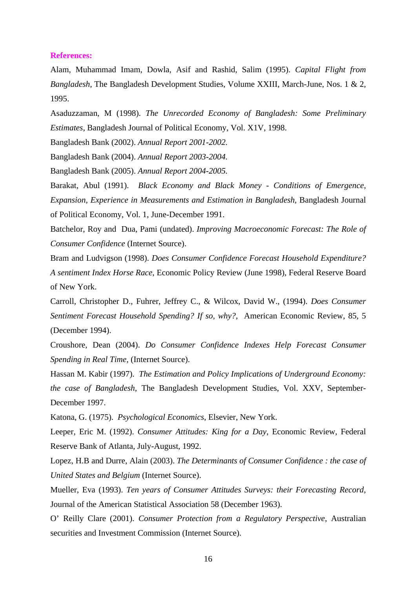#### **References:**

Alam, Muhammad Imam, Dowla, Asif and Rashid, Salim (1995). *Capital Flight from Bangladesh,* The Bangladesh Development Studies, Volume XXIII, March-June, Nos. 1 & 2, 1995.

Asaduzzaman, M (1998). *The Unrecorded Economy of Bangladesh: Some Preliminary Estimates*, Bangladesh Journal of Political Economy, Vol. X1V, 1998.

Bangladesh Bank (2002). *Annual Report 2001-2002.*

Bangladesh Bank (2004). *Annual Report 2003-2004.*

Bangladesh Bank (2005). *Annual Report 2004-2005.*

Barakat, Abul (1991). *Black Economy and Black Money - Conditions of Emergence, Expansion, Experience in Measurements and Estimation in Bangladesh*, Bangladesh Journal of Political Economy, Vol. 1, June-December 1991.

Batchelor, Roy and Dua, Pami (undated). *Improving Macroeconomic Forecast: The Role of Consumer Confidence* (Internet Source).

Bram and Ludvigson (1998). *Does Consumer Confidence Forecast Household Expenditure? A sentiment Index Horse Race*, Economic Policy Review (June 1998), Federal Reserve Board of New York.

Carroll, Christopher D., Fuhrer, Jeffrey C., & Wilcox, David W., (1994). *Does Consumer Sentiment Forecast Household Spending? If so, why?,* American Economic Review, 85, 5 (December 1994).

Croushore, Dean (2004). *Do Consumer Confidence Indexes Help Forecast Consumer Spending in Real Time,* (Internet Source).

Hassan M. Kabir (1997). *The Estimation and Policy Implications of Underground Economy: the case of Bangladesh*, The Bangladesh Development Studies, Vol. XXV, September-December 1997.

Katona, G. (1975). *Psychological Economics*, Elsevier, New York.

Leeper, Eric M. (1992). *Consumer Attitudes: King for a Day*, Economic Review, Federal Reserve Bank of Atlanta, July-August, 1992.

Lopez, H.B and Durre, Alain (2003). *The Determinants of Consumer Confidence : the case of United States and Belgium* (Internet Source).

Mueller, Eva (1993). *Ten years of Consumer Attitudes Surveys: their Forecasting Record,* Journal of the American Statistical Association 58 (December 1963).

O' Reilly Clare (2001). *Consumer Protection from a Regulatory Perspective*, Australian securities and Investment Commission (Internet Source).